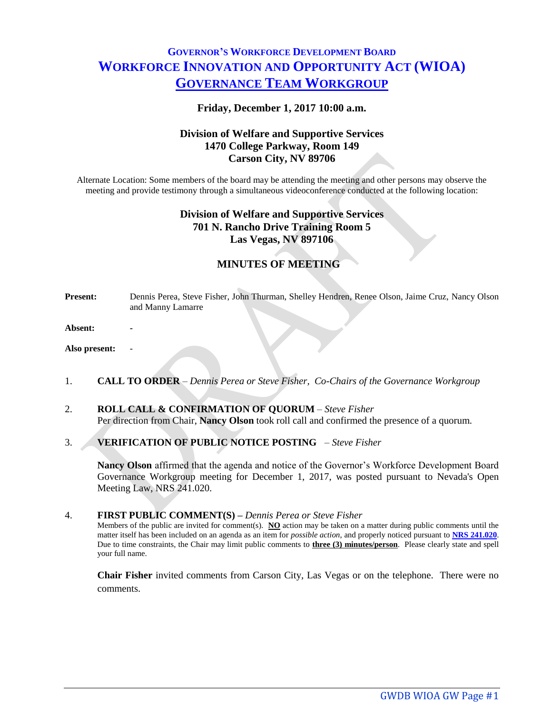# **GOVERNOR'S WORKFORCE DEVELOPMENT BOARD WORKFORCE INNOVATION AND OPPORTUNITY ACT (WIOA) GOVERNANCE TEAM WORKGROUP**

#### **Friday, December 1, 2017 10:00 a.m.**

# **Division of Welfare and Supportive Services 1470 College Parkway, Room 149 Carson City, NV 89706**

Alternate Location: Some members of the board may be attending the meeting and other persons may observe the meeting and provide testimony through a simultaneous videoconference conducted at the following location:

# **Division of Welfare and Supportive Services 701 N. Rancho Drive Training Room 5 Las Vegas, NV 897106**

## **MINUTES OF MEETING**

**Present:** Dennis Perea, Steve Fisher, John Thurman, Shelley Hendren, Renee Olson, Jaime Cruz, Nancy Olson and Manny Lamarre

**Absent: -**

**Also present:** -

- 1. **CALL TO ORDER** *Dennis Perea or Steve Fisher, Co-Chairs of the Governance Workgroup*
- 2. **ROLL CALL & CONFIRMATION OF QUORUM** *Steve Fisher* Per direction from Chair, **Nancy Olson** took roll call and confirmed the presence of a quorum.
- 3. **VERIFICATION OF PUBLIC NOTICE POSTING** *Steve Fisher*

**Nancy Olson** affirmed that the agenda and notice of the Governor's Workforce Development Board Governance Workgroup meeting for December 1, 2017, was posted pursuant to Nevada's Open Meeting Law, NRS 241.020.

#### 4. **FIRST PUBLIC COMMENT(S) –** *Dennis Perea or Steve Fisher*

Members of the public are invited for comment(s). **NO** action may be taken on a matter during public comments until the matter itself has been included on an agenda as an item for *possible action*, and properly noticed pursuant to **[NRS 241.020](http://www.leg.state.nv.us/NRS/NRS-241.html#NRS241Sec020)**. Due to time constraints, the Chair may limit public comments to **three (3) minutes/person**. Please clearly state and spell your full name.

**Chair Fisher** invited comments from Carson City, Las Vegas or on the telephone. There were no comments.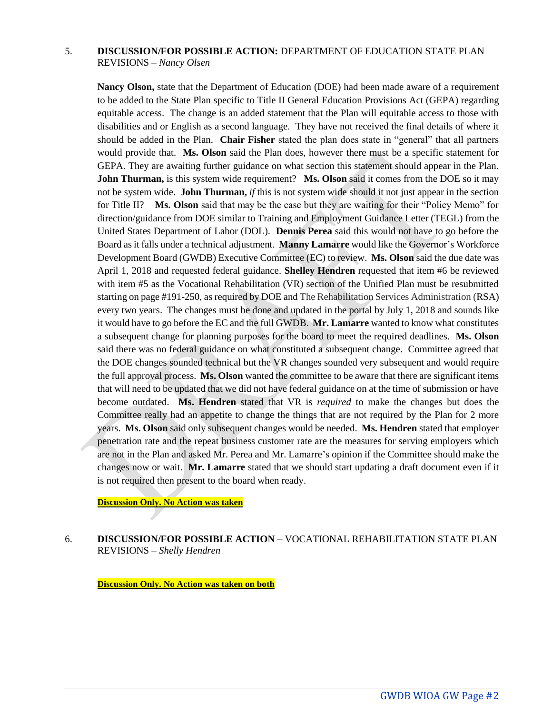## 5. **DISCUSSION/FOR POSSIBLE ACTION:** DEPARTMENT OF EDUCATION STATE PLAN REVISIONS – *Nancy Olsen*

**Nancy Olson,** state that the Department of Education (DOE) had been made aware of a requirement to be added to the State Plan specific to Title II General Education Provisions Act (GEPA) regarding equitable access. The change is an added statement that the Plan will equitable access to those with disabilities and or English as a second language. They have not received the final details of where it should be added in the Plan. **Chair Fisher** stated the plan does state in "general" that all partners would provide that. **Ms. Olson** said the Plan does, however there must be a specific statement for GEPA. They are awaiting further guidance on what section this statement should appear in the Plan. **John Thurman,** is this system wide requirement? **Ms. Olson said it comes from the DOE** so it may not be system wide. **John Thurman,** *if* this is not system wide should it not just appear in the section for Title II? **Ms. Olson** said that may be the case but they are waiting for their "Policy Memo" for direction/guidance from DOE similar to Training and Employment Guidance Letter (TEGL) from the United States Department of Labor (DOL). **Dennis Perea** said this would not have to go before the Board as it falls under a technical adjustment. **Manny Lamarre** would like the Governor's Workforce Development Board (GWDB) Executive Committee (EC) to review. **Ms. Olson** said the due date was April 1, 2018 and requested federal guidance. **Shelley Hendren** requested that item #6 be reviewed with item #5 as the Vocational Rehabilitation (VR) section of the Unified Plan must be resubmitted starting on page #191-250, as required by DOE and The Rehabilitation Services Administration (RSA) every two years. The changes must be done and updated in the portal by July 1, 2018 and sounds like it would have to go before the EC and the full GWDB. **Mr. Lamarre** wanted to know what constitutes a subsequent change for planning purposes for the board to meet the required deadlines. **Ms. Olson**  said there was no federal guidance on what constituted a subsequent change. Committee agreed that the DOE changes sounded technical but the VR changes sounded very subsequent and would require the full approval process. **Ms. Olson** wanted the committee to be aware that there are significant items that will need to be updated that we did not have federal guidance on at the time of submission or have become outdated. **Ms. Hendren** stated that VR is *required* to make the changes but does the Committee really had an appetite to change the things that are not required by the Plan for 2 more years. **Ms. Olson** said only subsequent changes would be needed. **Ms. Hendren** stated that employer penetration rate and the repeat business customer rate are the measures for serving employers which are not in the Plan and asked Mr. Perea and Mr. Lamarre's opinion if the Committee should make the changes now or wait. **Mr. Lamarre** stated that we should start updating a draft document even if it is not required then present to the board when ready.

#### **Discussion Only. No Action was taken**

6. **DISCUSSION/FOR POSSIBLE ACTION –** VOCATIONAL REHABILITATION STATE PLAN REVISIONS – *Shelly Hendren*

**Discussion Only. No Action was taken on both**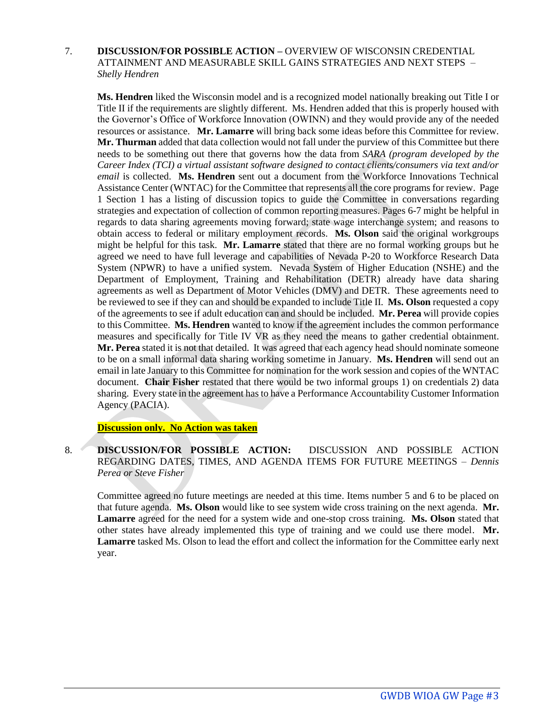7. **DISCUSSION/FOR POSSIBLE ACTION –** OVERVIEW OF WISCONSIN CREDENTIAL ATTAINMENT AND MEASURABLE SKILL GAINS STRATEGIES AND NEXT STEPS – *Shelly Hendren*

**Ms. Hendren** liked the Wisconsin model and is a recognized model nationally breaking out Title I or Title II if the requirements are slightly different. Ms. Hendren added that this is properly housed with the Governor's Office of Workforce Innovation (OWINN) and they would provide any of the needed resources or assistance. **Mr. Lamarre** will bring back some ideas before this Committee for review. **Mr. Thurman** added that data collection would not fall under the purview of this Committee but there needs to be something out there that governs how the data from *SARA (program developed by the Career Index (TCI) a virtual assistant software designed to contact clients/consumers via text and/or email* is collected. **Ms. Hendren** sent out a document from the Workforce Innovations Technical Assistance Center (WNTAC) for the Committee that represents all the core programs for review. Page 1 Section 1 has a listing of discussion topics to guide the Committee in conversations regarding strategies and expectation of collection of common reporting measures. Pages 6-7 might be helpful in regards to data sharing agreements moving forward; state wage interchange system; and reasons to obtain access to federal or military employment records. **Ms. Olson** said the original workgroups might be helpful for this task. **Mr. Lamarre** stated that there are no formal working groups but he agreed we need to have full leverage and capabilities of Nevada P-20 to Workforce Research Data System (NPWR) to have a unified system. Nevada System of Higher Education (NSHE) and the Department of Employment, Training and Rehabilitation (DETR) already have data sharing agreements as well as Department of Motor Vehicles (DMV) and DETR. These agreements need to be reviewed to see if they can and should be expanded to include Title II. **Ms. Olson** requested a copy of the agreements to see if adult education can and should be included. **Mr. Perea** will provide copies to this Committee. **Ms. Hendren** wanted to know if the agreement includes the common performance measures and specifically for Title IV VR as they need the means to gather credential obtainment. **Mr. Perea** stated it is not that detailed. It was agreed that each agency head should nominate someone to be on a small informal data sharing working sometime in January. **Ms. Hendren** will send out an email in late January to this Committee for nomination for the work session and copies of the WNTAC document. **Chair Fisher** restated that there would be two informal groups 1) on credentials 2) data sharing. Every state in the agreement has to have a Performance Accountability Customer Information Agency (PACIA).

**Discussion only. No Action was taken**

8. **DISCUSSION/FOR POSSIBLE ACTION:** DISCUSSION AND POSSIBLE ACTION REGARDING DATES, TIMES, AND AGENDA ITEMS FOR FUTURE MEETINGS – *Dennis Perea or Steve Fisher*

Committee agreed no future meetings are needed at this time. Items number 5 and 6 to be placed on that future agenda. **Ms. Olson** would like to see system wide cross training on the next agenda. **Mr. Lamarre** agreed for the need for a system wide and one-stop cross training. **Ms. Olson** stated that other states have already implemented this type of training and we could use there model. **Mr. Lamarre** tasked Ms. Olson to lead the effort and collect the information for the Committee early next year.